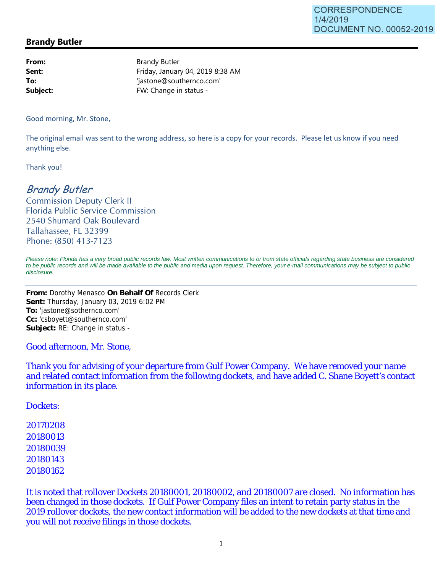### **Brandy Butler**

**From:** Brandy Butler **Sent:** Friday, January 04, 2019 8:38 AM **To:**  $\qquad \qquad$  'jastone@southernco.com' **Subject:** FW: Change in status -

Good morning, Mr. Stone,

The original email was sent to the wrong address, so here is a copy for your records. Please let us know if you need anything else.

Thank you!

# Brandy Butler

Commission Deputy Clerk II Florida Public Service Commission 2540 Shumard Oak Boulevard Tallahassee, FL 32399 Phone: (850) 413-7123

*Please note: Florida has a very broad public records law. Most written communications to or from state officials regarding state business are considered to be public records and will be made available to the public and media upon request. Therefore, your e-mail communications may be subject to public disclosure.*

**From:** Dorothy Menasco **On Behalf Of** Records Clerk **Sent:** Thursday, January 03, 2019 6:02 PM **To:** 'jastone@sothernco.com' **Cc:** 'csboyett@southernco.com' **Subject:** RE: Change in status -

Good afternoon, Mr. Stone,

Thank you for advising of your departure from Gulf Power Company. We have removed your name and related contact information from the following dockets, and have added C. Shane Boyett's contact information in its place.

Dockets:

It is noted that rollover Dockets 20180001, 20180002, and 20180007 are closed. No information has been changed in those dockets. If Gulf Power Company files an intent to retain party status in the 2019 rollover dockets, the new contact information will be added to the new dockets at that time and you will not receive filings in those dockets.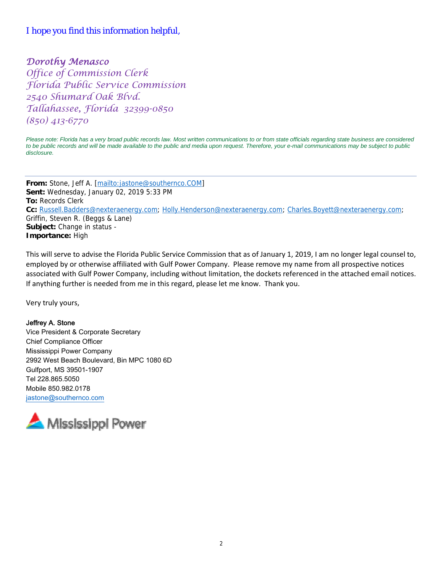# I hope you find this information helpful,

# Dorothy Menasco

Office of Commission Clerk Florida Public Service Commission 2540 Shumard Oak Blvd. Tallahassee, Florida 32399-0850 (850) 413-6770

*Please note: Florida has a very broad public records law. Most written communications to or from state officials regarding state business are considered*  to be public records and will be made available to the public and media upon request. Therefore, your e-mail communications may be subject to public *disclosure.*

**From:** Stone, Jeff A. [mailto:jastone@southernco.COM] **Sent:** Wednesday, January 02, 2019 5:33 PM **To:** Records Clerk **Cc:** Russell.Badders@nexteraenergy.com; Holly.Henderson@nexteraenergy.com; Charles.Boyett@nexteraenergy.com; Griffin, Steven R. (Beggs & Lane) **Subject:** Change in status - **Importance:** High

This will serve to advise the Florida Public Service Commission that as of January 1, 2019, I am no longer legal counsel to, employed by or otherwise affiliated with Gulf Power Company. Please remove my name from all prospective notices associated with Gulf Power Company, including without limitation, the dockets referenced in the attached email notices. If anything further is needed from me in this regard, please let me know. Thank you.

Very truly yours,

#### Jeffrey A. Stone

Vice President & Corporate Secretary Chief Compliance Officer Mississippi Power Company 2992 West Beach Boulevard, Bin MPC 1080 6D Gulfport, MS 39501-1907 Tel 228.865.5050 Mobile 850.982.0178 jastone@southernco.com